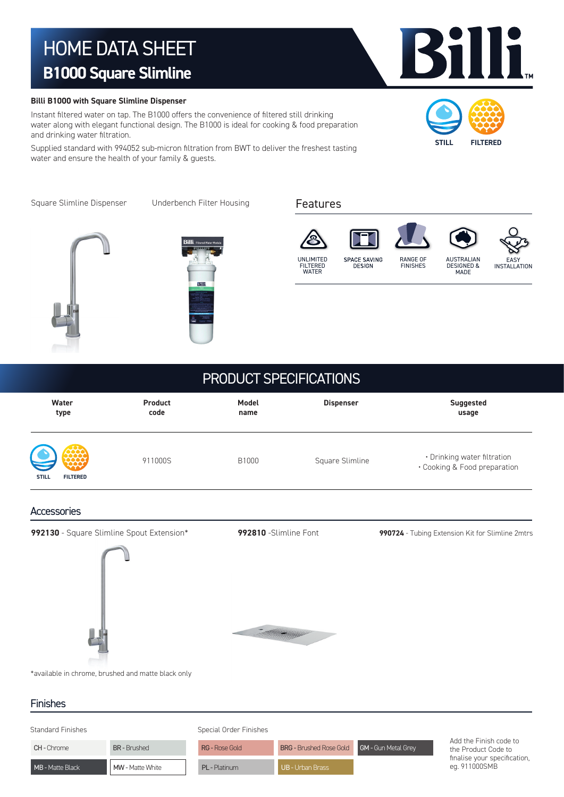# HOME DATA SHEET **B1000 Square Slimline**

#### **Billi B1000 with Square Slimline Dispenser**

Instant filtered water on tap. The B1000 offers the convenience of filtered still drinking water along with elegant functional design. The B1000 is ideal for cooking & food preparation and drinking water filtration.

Supplied standard with 994052 sub-micron filtration from BWT to deliver the freshest tasting water and ensure the health of your family & guests.

Square Slimline Dispenser Underbench Filter Housing





#### Features









### PRODUCT SPECIFICATIONS

| Water                                              | <b>Product</b> | Model | <b>Dispenser</b> | <b>Suggested</b>                                            |
|----------------------------------------------------|----------------|-------|------------------|-------------------------------------------------------------|
| type                                               | code           | name  |                  | usage                                                       |
| $\bullet$<br>\$<br><b>STILL</b><br><b>FILTERED</b> | 911000S        | B1000 | Square Slimline  | • Drinking water filtration<br>• Cooking & Food preparation |

#### **Accessories**

**992130** - Square Slimline Spout Extension\*



**COMPANY COMPANY COMPANY COMPANY COMPANY COMPANY COMPANY COMPANY COMPANY COMPANY COMPANY COMPANY COMPANY COMPANY** 

**992810** -Slimline Font **990724** - Tubing Extension Kit for Slimline 2mtrs

\*available in chrome, brushed and matte black only

#### Finishes

| <b>Standard Finishes</b> | Special Order Finishes |
|--------------------------|------------------------|

| <b>CH - Chrome</b>      | <b>BR-Brushed</b>       | <b>RG - Rose Gold</b> | <b>BRG</b> - Brushed Rose Gold <b>GM</b> - Gun Metal Grey |  |
|-------------------------|-------------------------|-----------------------|-----------------------------------------------------------|--|
| <b>MB</b> - Matte Black | <b>MW</b> - Matte White | <b>PL</b> - Platinum  | <b>UB - Urban Brass</b>                                   |  |

Add the Finish code to the Product Code to finalise your specification, eg. 911000SMB



**STILL FILTERED**